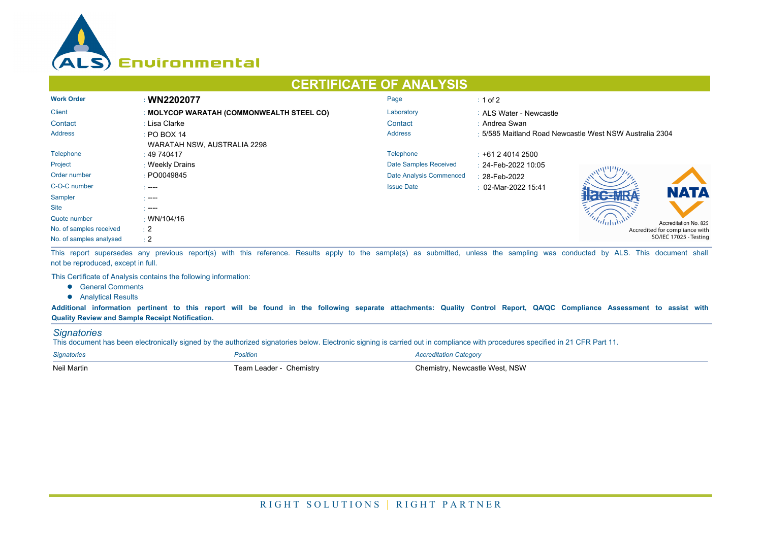

## **CERTIFICATE OF ANALYSIS**

| <b>Work Order</b>       | : WN2202077                               | Page                    | $\div$ 1 of 2                                           |  |  |
|-------------------------|-------------------------------------------|-------------------------|---------------------------------------------------------|--|--|
| <b>Client</b>           | : MOLYCOP WARATAH (COMMONWEALTH STEEL CO) | Laboratory              | : ALS Water - Newcastle                                 |  |  |
| Contact                 | : Lisa Clarke                             | Contact                 | : Andrea Swan                                           |  |  |
| Address                 | $\div$ PO BOX 14                          | <b>Address</b>          | : 5/585 Maitland Road Newcastle West NSW Australia 2304 |  |  |
|                         | WARATAH NSW, AUSTRALIA 2298               |                         |                                                         |  |  |
| Telephone               | $\pm 49\,740417$                          | Telephone               | $\pm$ +61 2 4014 2500                                   |  |  |
| Project                 | : Weekly Drains                           | Date Samples Received   | : 24-Feb-2022 10:05                                     |  |  |
| Order number            | : PO0049845                               | Date Analysis Commenced | : 28-Feb-2022                                           |  |  |
| C-O-C number            | $\sim$ ----                               | <b>Issue Date</b>       | $\div$ 02-Mar-2022 15:41<br><b>NATA</b>                 |  |  |
| Sampler                 | .                                         |                         |                                                         |  |  |
| <b>Site</b>             | $\sim$ ----                               |                         |                                                         |  |  |
| Quote number            | $\cdot$ WN/104/16                         |                         | Accreditation No. 825                                   |  |  |
| No. of samples received | $\pm 2$                                   |                         | Accredited for compliance with                          |  |  |
| No. of samples analysed | $\div 2$                                  |                         | ISO/IEC 17025 - Testing                                 |  |  |

This report supersedes any previous report(s) with this reference. Results apply to the sample(s) as submitted, unless the sampling was conducted by ALS. This document shall not be reproduced, except in full.

This Certificate of Analysis contains the following information:

- **•** General Comments
- **•** Analytical Results

**Additional information pertinent to this report will be found in the following separate attachments: Quality Control Report, QA/QC Compliance Assessment to assist with Quality Review and Sample Receipt Notification.**

## *Signatories*

This document has been electronically signed by the authorized signatories below. Electronic signing is carried out in compliance with procedures specified in 21 CFR Part 11.

| <b>Signatories</b> | Position                | <b>Accreditation Category</b>  |
|--------------------|-------------------------|--------------------------------|
| <b>Neil Martin</b> | Team Leader - Chemistry | Chemistry, Newcastle West, NSW |